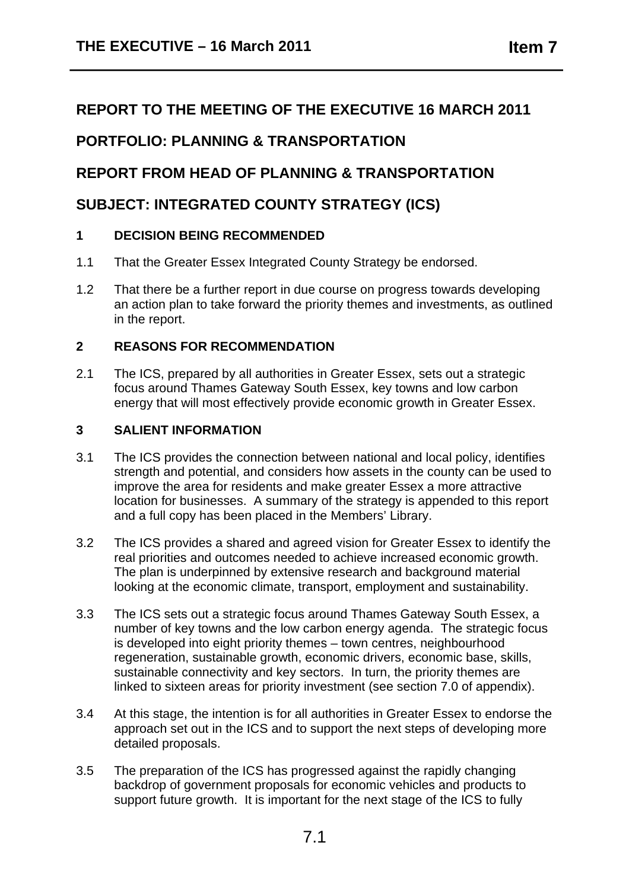# **REPORT TO THE MEETING OF THE EXECUTIVE 16 MARCH 2011**

# **PORTFOLIO: PLANNING & TRANSPORTATION**

# **REPORT FROM HEAD OF PLANNING & TRANSPORTATION**

## **SUBJECT: INTEGRATED COUNTY STRATEGY (ICS)**

## **1 DECISION BEING RECOMMENDED**

- 1.1 That the Greater Essex Integrated County Strategy be endorsed.
- 1.2 That there be a further report in due course on progress towards developing an action plan to take forward the priority themes and investments, as outlined in the report.

## **2 REASONS FOR RECOMMENDATION**

2.1 The ICS, prepared by all authorities in Greater Essex, sets out a strategic focus around Thames Gateway South Essex, key towns and low carbon energy that will most effectively provide economic growth in Greater Essex.

## **3 SALIENT INFORMATION**

- 3.1 The ICS provides the connection between national and local policy, identifies strength and potential, and considers how assets in the county can be used to improve the area for residents and make greater Essex a more attractive location for businesses. A summary of the strategy is appended to this report and a full copy has been placed in the Members' Library.
- 3.2 The ICS provides a shared and agreed vision for Greater Essex to identify the real priorities and outcomes needed to achieve increased economic growth. The plan is underpinned by extensive research and background material looking at the economic climate, transport, employment and sustainability.
- 3.3 The ICS sets out a strategic focus around Thames Gateway South Essex, a number of key towns and the low carbon energy agenda. The strategic focus is developed into eight priority themes – town centres, neighbourhood regeneration, sustainable growth, economic drivers, economic base, skills, sustainable connectivity and key sectors. In turn, the priority themes are linked to sixteen areas for priority investment (see section 7.0 of appendix).
- 3.4 At this stage, the intention is for all authorities in Greater Essex to endorse the approach set out in the ICS and to support the next steps of developing more detailed proposals.
- 3.5 The preparation of the ICS has progressed against the rapidly changing backdrop of government proposals for economic vehicles and products to support future growth. It is important for the next stage of the ICS to fully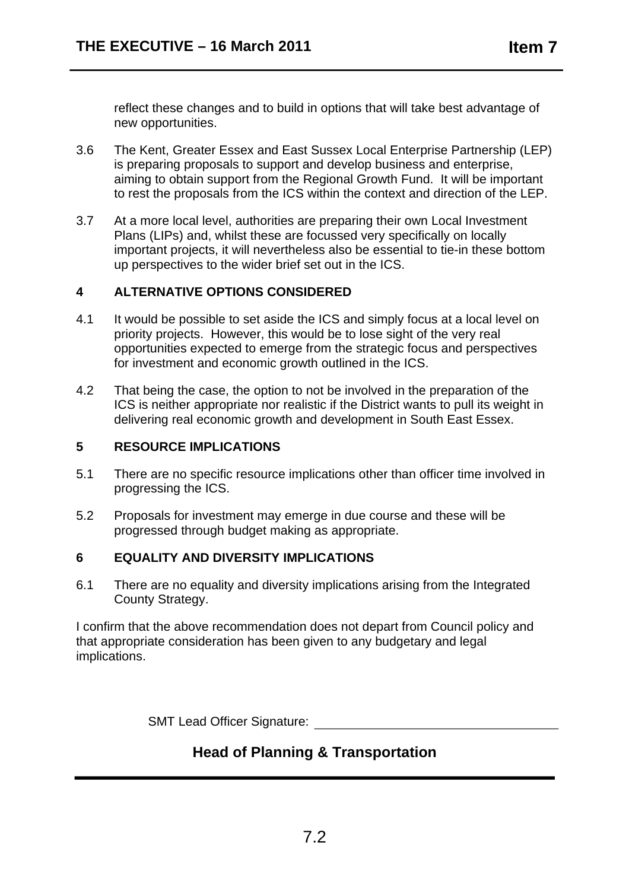reflect these changes and to build in options that will take best advantage of new opportunities.

- 3.6 The Kent, Greater Essex and East Sussex Local Enterprise Partnership (LEP) is preparing proposals to support and develop business and enterprise, aiming to obtain support from the Regional Growth Fund. It will be important to rest the proposals from the ICS within the context and direction of the LEP.
- 3.7 At a more local level, authorities are preparing their own Local Investment Plans (LIPs) and, whilst these are focussed very specifically on locally important projects, it will nevertheless also be essential to tie-in these bottom up perspectives to the wider brief set out in the ICS.

## **4 ALTERNATIVE OPTIONS CONSIDERED**

- 4.1 It would be possible to set aside the ICS and simply focus at a local level on priority projects. However, this would be to lose sight of the very real opportunities expected to emerge from the strategic focus and perspectives for investment and economic growth outlined in the ICS.
- 4.2 That being the case, the option to not be involved in the preparation of the ICS is neither appropriate nor realistic if the District wants to pull its weight in delivering real economic growth and development in South East Essex.

#### **5 RESOURCE IMPLICATIONS**

- 5.1 There are no specific resource implications other than officer time involved in progressing the ICS.
- 5.2 Proposals for investment may emerge in due course and these will be progressed through budget making as appropriate.

#### **6 EQUALITY AND DIVERSITY IMPLICATIONS**

6.1 There are no equality and diversity implications arising from the Integrated County Strategy.

I confirm that the above recommendation does not depart from Council policy and that appropriate consideration has been given to any budgetary and legal implications.

SMT Lead Officer Signature:

# **Head of Planning & Transportation**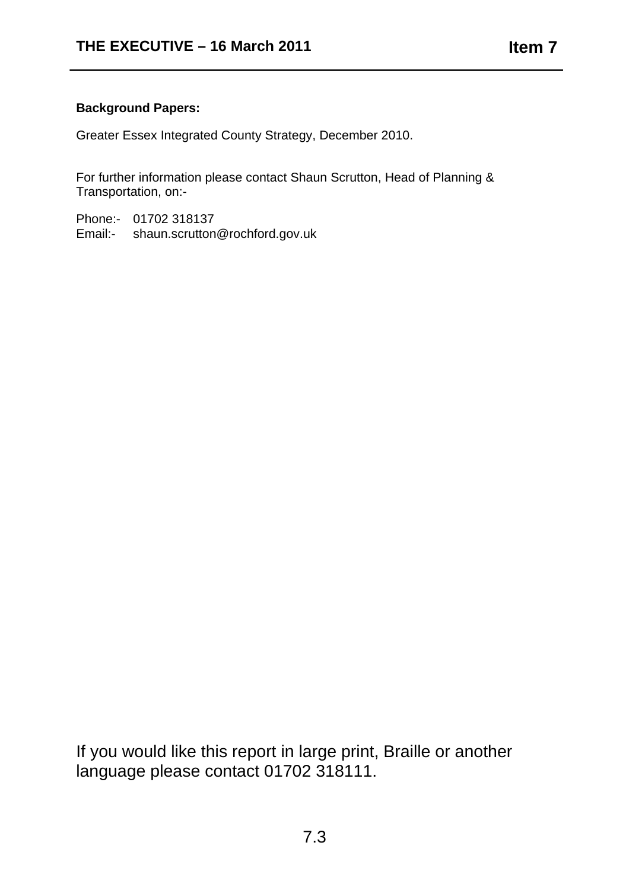## **Background Papers:**

Greater Essex Integrated County Strategy, December 2010.

For further information please contact Shaun Scrutton, Head of Planning & Transportation, on:-

Phone:- 01702 318137 Email:- shaun.scrutton@rochford.gov.uk

If you would like this report in large print, Braille or another language please contact 01702 318111.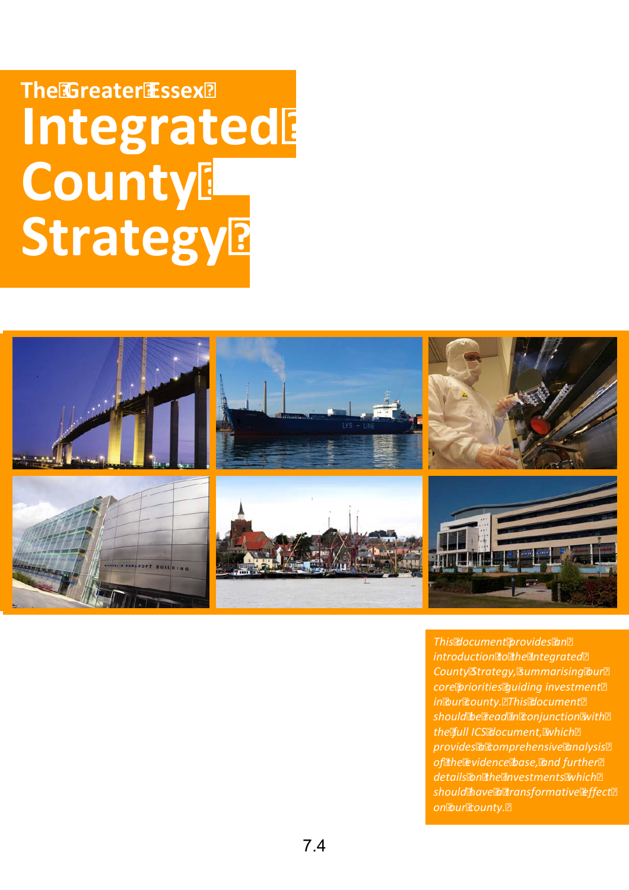# I**ntegrated County Strategy The Greater Essex Strategy County Integrated**



*i core pr orities guiding investment l i the ful ICS document, wh ch This document provides an introduction to the Integrated County Strategy, summarising our in our county. This document should be read in conjunction with provides a comprehensive analysis of the evidence base, and further details on the investments which should have a transformative effect on our county.*